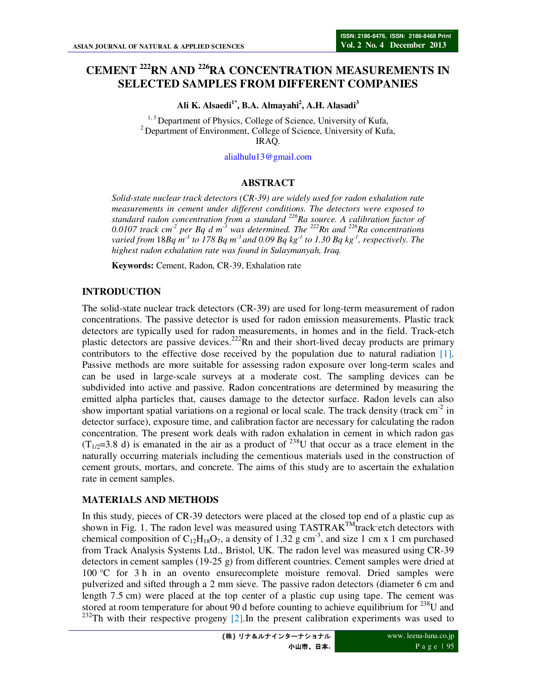# **CEMENT <sup>222</sup>RN AND <sup>226</sup>RA CONCENTRATION MEASUREMENTS IN SELECTED SAMPLES FROM DIFFERENT COMPANIES**

**Ali K. Alsaedi1\*, B.A. Almayahi<sup>2</sup> , A.H. Alasadi<sup>3</sup>**

<sup>1, 3</sup> Department of Physics, College of Science, University of Kufa, <sup>2</sup> Department of Environment, College of Science, University of Kufa, IRAQ.

alialhulu13@gmail.com

#### **ABSTRACT**

*Solid-state nuclear track detectors (CR-39) are widely used for radon exhalation rate measurements in cement under different conditions. The detectors were exposed to standard radon concentration from a standard <sup>226</sup>Ra source. A calibration factor of 0.0107 track cm-2 per Bq d m-3 was determined. The <sup>222</sup>Rn and <sup>226</sup>Ra concentrations varied from* 18*Bq m-3 to 178 Bq m-3 and 0.09 Bq kg-1 to 1.30 Bq kg-1, respectively. The highest radon exhalation rate was found in Sulaymanyah, Iraq.* 

**Keywords:** Cement, Radon, CR-39, Exhalation rate

#### **INTRODUCTION**

The solid-state nuclear track detectors (CR-39) are used for long-term measurement of radon concentrations. The passive detector is used for radon emission measurements. Plastic track detectors are typically used for radon measurements, in homes and in the field. Track-etch plastic detectors are passive devices.<sup>222</sup>Rn and their short-lived decay products are primary contributors to the effective dose received by the population due to natural radiation [1]. Passive methods are more suitable for assessing radon exposure over long-term scales and can be used in large-scale surveys at a moderate cost. The sampling devices can be subdivided into active and passive. Radon concentrations are determined by measuring the emitted alpha particles that, causes damage to the detector surface. Radon levels can also show important spatial variations on a regional or local scale. The track density (track  $cm<sup>2</sup>$  in detector surface), exposure time, and calibration factor are necessary for calculating the radon concentration. The present work deals with radon exhalation in cement in which radon gas  $(T_{1/2}=3.8 \text{ d})$  is emanated in the air as a product of <sup>238</sup>U that occur as a trace element in the naturally occurring materials including the cementious materials used in the construction of cement grouts, mortars, and concrete. The aims of this study are to ascertain the exhalation rate in cement samples.

#### **MATERIALS AND METHODS**

In this study, pieces of CR-39 detectors were placed at the closed top end of a plastic cup as shown in Fig. 1. The radon level was measured using  $TASTRAK^{TM}$  track-etch detectors with chemical composition of C<sub>12</sub>H<sub>18</sub>O<sub>7</sub>, a density of 1.32 g cm<sup>-3</sup>, and size 1 cm x 1 cm purchased from Track Analysis Systems Ltd., Bristol, UK. The radon level was measured using CR-39 detectors in cement samples (19-25 g) from different countries. Cement samples were dried at 100 °C for 3 h in an ovento ensurecomplete moisture removal. Dried samples were pulverized and sifted through a 2 mm sieve. The passive radon detectors (diameter 6 cm and length 7.5 cm) were placed at the top center of a plastic cup using tape. The cement was stored at room temperature for about  $90$  d before counting to achieve equilibrium for  $^{238}$ U and  $232$ Th with their respective progeny [2]. In the present calibration experiments was used to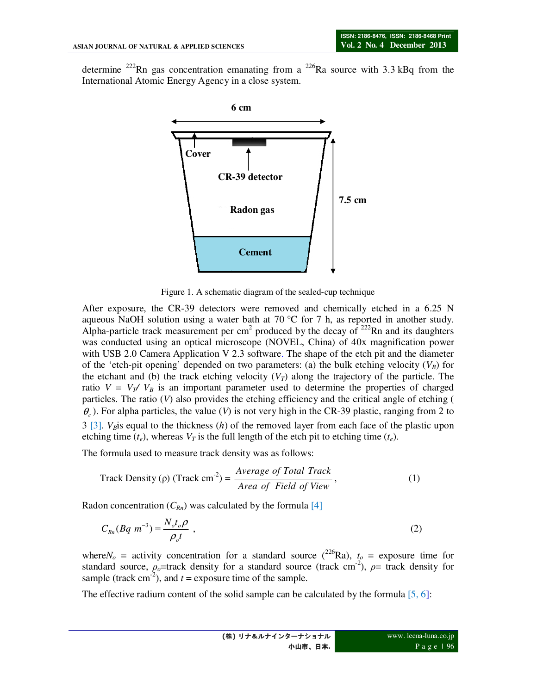determine <sup>222</sup>Rn gas concentration emanating from a <sup>226</sup>Ra source with 3.3 kBq from the International Atomic Energy Agency in a close system.



Figure 1. A schematic diagram of the sealed-cup technique

After exposure, the CR-39 detectors were removed and chemically etched in a 6.25 N aqueous NaOH solution using a water bath at 70  $\degree$ C for 7 h, as reported in another study. Alpha-particle track measurement per  $cm<sup>2</sup>$  produced by the decay of  $222$ Rn and its daughters was conducted using an optical microscope (NOVEL, China) of 40x magnification power with USB 2.0 Camera Application V 2.3 software. The shape of the etch pit and the diameter of the 'etch-pit opening' depended on two parameters: (a) the bulk etching velocity  $(V_B)$  for the etchant and (b) the track etching velocity  $(V_T)$  along the trajectory of the particle. The ratio  $V = V_T / V_B$  is an important parameter used to determine the properties of charged particles. The ratio (*V*) also provides the etching efficiency and the critical angle of etching (  $\theta_c$ ). For alpha particles, the value (*V*) is not very high in the CR-39 plastic, ranging from 2 to 3 [3]. *VB*is equal to the thickness (*h*) of the removed layer from each face of the plastic upon etching time  $(t_e)$ , whereas  $V_T$  is the full length of the etch pit to etching time  $(t_e)$ .

The formula used to measure track density was as follows:

$$
Track Density (p) (Track cm-2) = \frac{Average \ of \ Total \ Track}{Area \ of \ Field \ of \ View},
$$
 (1)

Radon concentration  $(C_{Rn})$  was calculated by the formula [4]

$$
C_{Rn}(Bq \ m^{-3}) = \frac{N_o t_o \rho}{\rho_o t} \tag{2}
$$

where $N_o$  = activity concentration for a standard source (<sup>226</sup>Ra),  $t_o$  = exposure time for standard source,  $\rho_o$ =track density for a standard source (track cm<sup>-2</sup>),  $\rho$ = track density for sample (track cm<sup>-2</sup>), and  $t =$  exposure time of the sample.

The effective radium content of the solid sample can be calculated by the formula [5, 6]: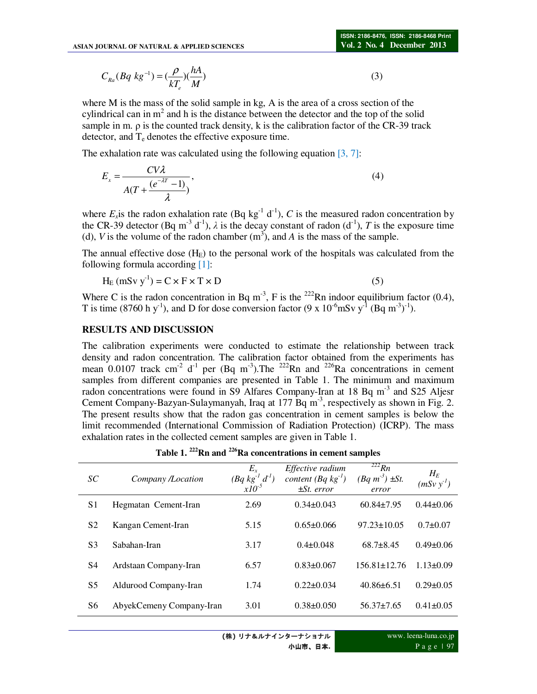$$
C_{Ra}(Bq \ kg^{-1}) = \left(\frac{\rho}{kT_e}\right)\left(\frac{hA}{M}\right) \tag{3}
$$

where M is the mass of the solid sample in kg, A is the area of a cross section of the cylindrical can in  $m<sup>2</sup>$  and h is the distance between the detector and the top of the solid sample in m. ρ is the counted track density, k is the calibration factor of the CR-39 track detector, and  $T_e$  denotes the effective exposure time.

The exhalation rate was calculated using the following equation  $[3, 7]$ :

$$
E_x = \frac{CV\lambda}{A(T + \frac{(e^{-\lambda T} - 1)}{\lambda})},\tag{4}
$$

where  $E_x$  is the radon exhalation rate (Bq kg<sup>-1</sup> d<sup>-1</sup>), C is the measured radon concentration by the CR-39 detector (Bq m<sup>-3</sup> d<sup>-1</sup>),  $\lambda$  is the decay constant of radon (d<sup>-1</sup>), *T* is the exposure time (d), *V* is the volume of the radon chamber  $(m^3)$ , and *A* is the mass of the sample.

The annual effective dose  $(H<sub>E</sub>)$  to the personal work of the hospitals was calculated from the following formula according [1]:

$$
H_E (mSv y-1) = C \times F \times T \times D
$$
 (5)

Where C is the radon concentration in Bq m<sup>-3</sup>, F is the <sup>222</sup>Rn indoor equilibrium factor (0.4), T is time (8760 h y<sup>-1</sup>), and D for dose conversion factor (9 x 10<sup>-6</sup>mSv y<sup>-1</sup> (Bq m<sup>-3</sup>)<sup>-1</sup>).

#### **RESULTS AND DISCUSSION**

The calibration experiments were conducted to estimate the relationship between track density and radon concentration. The calibration factor obtained from the experiments has mean  $0.0107$  track cm<sup>-2</sup> d<sup>-1</sup> per (Bq m<sup>-3</sup>). The <sup>222</sup>Rn and <sup>226</sup>Ra concentrations in cement samples from different companies are presented in Table 1. The minimum and maximum radon concentrations were found in S9 Alfares Company-Iran at 18 Bq m<sup>-3</sup> and S25 Aljesr Cement Company-Bazyan-Sulaymanyah, Iraq at 177 Bq  $m<sup>-3</sup>$ , respectively as shown in Fig. 2. The present results show that the radon gas concentration in cement samples is below the limit recommended (International Commission of Radiation Protection) (ICRP). The mass exhalation rates in the collected cement samples are given in Table 1.

**Table 1. <sup>222</sup>Rn and <sup>226</sup>Ra concentrations in cement samples** 

| SC             | Company /Location        | $E_x$<br>$(Bq \, kg^{-1} \, d^1)$<br>$x10^{-5}$ | Effective radium<br>content $(Bq \, kg^{-1})$<br>$\pm St. error$ | $\overline{222}Rn$<br>$(Bq m^3) \pm St.$<br>error | $H_E$<br>$(mSv y-1)$ |
|----------------|--------------------------|-------------------------------------------------|------------------------------------------------------------------|---------------------------------------------------|----------------------|
| S1             | Hegmatan Cement-Iran     | 2.69                                            | $0.34\pm0.043$                                                   | $60.84 \pm 7.95$                                  | $0.44\pm 0.06$       |
| S <sub>2</sub> | Kangan Cement-Iran       | 5.15                                            | $0.65 \pm 0.066$                                                 | $97.23 \pm 10.05$                                 | $0.7 \pm 0.07$       |
| S <sub>3</sub> | Sabahan-Iran             | 3.17                                            | $0.4 \pm 0.048$                                                  | $68.7\pm8.45$                                     | $0.49 \pm 0.06$      |
| S4             | Ardstaan Company-Iran    | 6.57                                            | $0.83 \pm 0.067$                                                 | $156.81 \pm 12.76$                                | $1.13 \pm 0.09$      |
| S5             | Aldurood Company-Iran    | 1.74                                            | $0.22 \pm 0.034$                                                 | $40.86 \pm 6.51$                                  | $0.29 \pm 0.05$      |
| S6             | AbyekCemeny Company-Iran | 3.01                                            | $0.38 \pm 0.050$                                                 | $56.37 \pm 7.65$                                  | $0.41 \pm 0.05$      |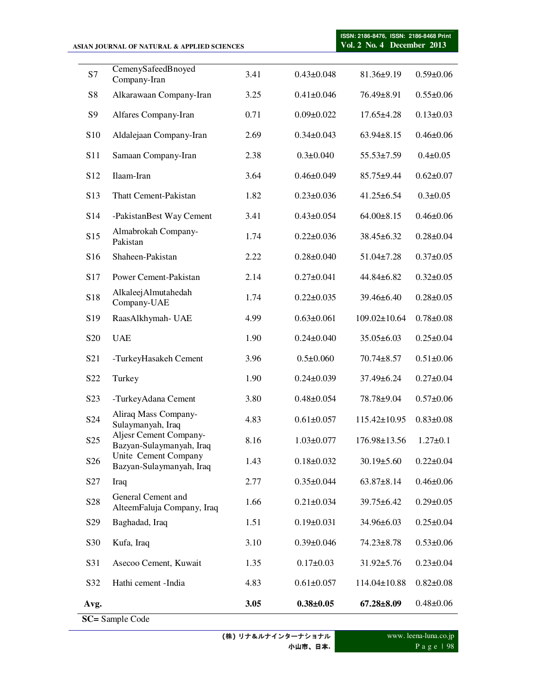|                  | ASIAN JOURNAL OF NATURAL & APPLIED SCIENCES        | ISSN: 2186-8476, ISSN: 2186-8468 Print<br>Vol. 2 No. 4 December 2013 |                  |                    |                 |
|------------------|----------------------------------------------------|----------------------------------------------------------------------|------------------|--------------------|-----------------|
|                  |                                                    |                                                                      |                  |                    |                 |
| S7               | CemenySafeedBnoyed<br>Company-Iran                 | 3.41                                                                 | $0.43 \pm 0.048$ | 81.36±9.19         | $0.59 \pm 0.06$ |
| S8               | Alkarawaan Company-Iran                            | 3.25                                                                 | $0.41 \pm 0.046$ | 76.49±8.91         | $0.55 \pm 0.06$ |
| S9               | Alfares Company-Iran                               | 0.71                                                                 | $0.09 \pm 0.022$ | $17.65 \pm 4.28$   | $0.13 \pm 0.03$ |
| S10              | Aldalejaan Company-Iran                            | 2.69                                                                 | $0.34 \pm 0.043$ | $63.94 \pm 8.15$   | $0.46 \pm 0.06$ |
| S11              | Samaan Company-Iran                                | 2.38                                                                 | $0.3 \pm 0.040$  | $55.53 \pm 7.59$   | $0.4 \pm 0.05$  |
| S <sub>12</sub>  | Ilaam-Iran                                         | 3.64                                                                 | $0.46 \pm 0.049$ | $85.75 \pm 9.44$   | $0.62 \pm 0.07$ |
| S <sub>13</sub>  | Thatt Cement-Pakistan                              | 1.82                                                                 | $0.23 \pm 0.036$ | $41.25 \pm 6.54$   | $0.3 \pm 0.05$  |
| S <sub>14</sub>  | -PakistanBest Way Cement                           | 3.41                                                                 | $0.43 \pm 0.054$ | $64.00 \pm 8.15$   | $0.46 \pm 0.06$ |
| S15              | Almabrokah Company-<br>Pakistan                    | 1.74                                                                 | $0.22 \pm 0.036$ | $38.45 \pm 6.32$   | $0.28 \pm 0.04$ |
| S <sub>16</sub>  | Shaheen-Pakistan                                   | 2.22                                                                 | $0.28 \pm 0.040$ | $51.04 \pm 7.28$   | $0.37 \pm 0.05$ |
| S17              | Power Cement-Pakistan                              | 2.14                                                                 | $0.27 \pm 0.041$ | $44.84 \pm 6.82$   | $0.32 \pm 0.05$ |
| S18              | AlkaleejAlmutahedah<br>Company-UAE                 | 1.74                                                                 | $0.22 \pm 0.035$ | 39.46±6.40         | $0.28 \pm 0.05$ |
| S <sub>19</sub>  | RaasAlkhymah- UAE                                  | 4.99                                                                 | $0.63 \pm 0.061$ | $109.02 \pm 10.64$ | $0.78 \pm 0.08$ |
| S <sub>20</sub>  | <b>UAE</b>                                         | 1.90                                                                 | $0.24 \pm 0.040$ | $35.05 \pm 6.03$   | $0.25 \pm 0.04$ |
| S <sub>21</sub>  | -TurkeyHasakeh Cement                              | 3.96                                                                 | $0.5 \pm 0.060$  | $70.74 \pm 8.57$   | $0.51 \pm 0.06$ |
| S <sub>22</sub>  | Turkey                                             | 1.90                                                                 | $0.24 \pm 0.039$ | 37.49±6.24         | $0.27 \pm 0.04$ |
| S <sub>2</sub> 3 | -TurkeyAdana Cement                                | 3.80                                                                 | $0.48 \pm 0.054$ | 78.78±9.04         | $0.57 \pm 0.06$ |
| S <sub>24</sub>  | Aliraq Mass Company-<br>Sulaymanyah, Iraq          | 4.83                                                                 | $0.61 \pm 0.057$ | 115.42±10.95       | $0.83 \pm 0.08$ |
| S <sub>25</sub>  | Aljesr Cement Company-<br>Bazyan-Sulaymanyah, Iraq | 8.16                                                                 | $1.03 \pm 0.077$ | 176.98±13.56       | $1.27 \pm 0.1$  |
| S <sub>26</sub>  | Unite Cement Company<br>Bazyan-Sulaymanyah, Iraq   | 1.43                                                                 | $0.18 \pm 0.032$ | $30.19 \pm 5.60$   | $0.22 \pm 0.04$ |
| S <sub>27</sub>  | Iraq                                               | 2.77                                                                 | $0.35 \pm 0.044$ | $63.87 \pm 8.14$   | $0.46 \pm 0.06$ |
| S <sub>28</sub>  | General Cement and<br>AlteemFaluja Company, Iraq   | 1.66                                                                 | $0.21 \pm 0.034$ | $39.75 \pm 6.42$   | $0.29 \pm 0.05$ |
| S <sub>29</sub>  | Baghadad, Iraq                                     | 1.51                                                                 | $0.19 \pm 0.031$ | 34.96±6.03         | $0.25 \pm 0.04$ |
| S30              | Kufa, Iraq                                         | 3.10                                                                 | $0.39 \pm 0.046$ | $74.23 \pm 8.78$   | $0.53 \pm 0.06$ |
| S31              | Asecoo Cement, Kuwait                              | 1.35                                                                 | $0.17 \pm 0.03$  | $31.92 \pm 5.76$   | $0.23 \pm 0.04$ |
| S32              | Hathi cement -India                                | 4.83                                                                 | $0.61 \pm 0.057$ | 114.04±10.88       | $0.82 \pm 0.08$ |
| Avg.             |                                                    | 3.05                                                                 | $0.38 + 0.05$    | $67.28 \pm 8.09$   | $0.48 \pm 0.06$ |
|                  | SC= Sample Code                                    |                                                                      |                  |                    |                 |

**(**株**)** リナ&ルナインターナショナル 小山市、日本**.**

www. leena-luna.co.jp P a g e | 98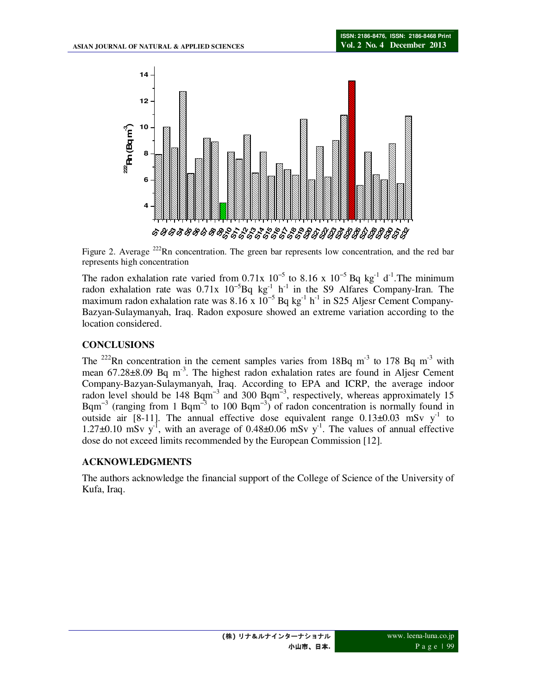

Figure 2. Average  $^{222}$ Rn concentration. The green bar represents low concentration, and the red bar represents high concentration

The radon exhalation rate varied from 0.71x  $10^{-5}$  to 8.16 x  $10^{-5}$  Bq kg<sup>-1</sup> d<sup>-1</sup>. The minimum radon exhalation rate was  $0.71x$   $10^{-5}$ Bq kg<sup>-1</sup> h<sup>-1</sup> in the S9 Alfares Company-Iran. The maximum radon exhalation rate was  $8.16 \times 10^{-5}$  Bq kg<sup>-1</sup> h<sup>-1</sup> in S25 Aljesr Cement Company-Bazyan-Sulaymanyah, Iraq. Radon exposure showed an extreme variation according to the location considered.

## **CONCLUSIONS**

The <sup>222</sup>Rn concentration in the cement samples varies from 18Bq m<sup>-3</sup> to 178 Bq m<sup>-3</sup> with mean  $67.28\pm8.09$  Bq m<sup>-3</sup>. The highest radon exhalation rates are found in Aljesr Cement Company-Bazyan-Sulaymanyah, Iraq. According to EPA and ICRP, the average indoor radon level should be  $148$  Bqm<sup>-3</sup> and 300 Bqm<sup>-3</sup>, respectively, whereas approximately 15 Bqm<sup>-3</sup> (ranging from 1 Bqm<sup>-3</sup> to 100 Bqm<sup>-3</sup>) of radon concentration is normally found in outside air [8-11]. The annual effective dose equivalent range  $0.13\pm0.03$  mSv y<sup>-1</sup> to 1.27 $\pm$ 0.10 mSv y<sup>-1</sup>, with an average of 0.48 $\pm$ 0.06 mSv y<sup>-1</sup>. The values of annual effective dose do not exceed limits recommended by the European Commission [12].

# **ACKNOWLEDGMENTS**

The authors acknowledge the financial support of the College of Science of the University of Kufa, Iraq.